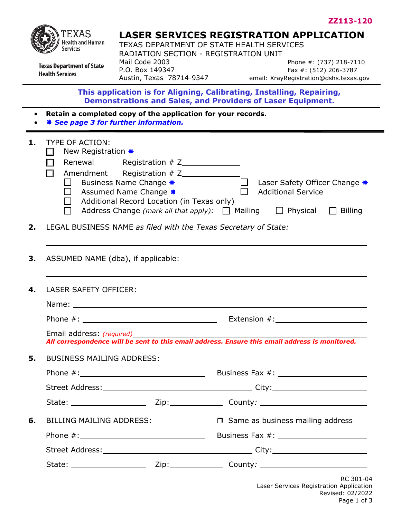

**Health Services** 

# **LASER SERVICES REGISTRATION APPLICATION**

TEXAS DEPARTMENT OF STATE HEALTH SERVICES RADIATION SECTION - REGISTRATION UNIT<br>Mail Code 2003 **Texas Department of State** 

Mail Code 2003 **Phone #: (737) 218-7110**<br>P.O. Box 149347 **P.O.** Fax #: (512) 206-3787 Fax #: (512) 206-3787 Austin, Texas 78714-9347 email: XrayRegistration@dshs.texas.gov

**This application is for Aligning, Calibrating, Installing, Repairing, Demonstrations and Sales, and Providers of Laser Equipment.**

- **Retain a completed copy of the application for your records.**
- $\frac{1}{2}$  **See page 3 for further information.**

| 1. | <b>TYPE OF ACTION:</b>                                          |                                                                                                                             |
|----|-----------------------------------------------------------------|-----------------------------------------------------------------------------------------------------------------------------|
|    | New Registration *<br>$\Box$                                    |                                                                                                                             |
|    |                                                                 |                                                                                                                             |
|    | Amendment Registration # Z______________<br>. .<br>$\Box$       |                                                                                                                             |
|    | Assumed Name Change *                                           |                                                                                                                             |
|    | $\Box$ Additional Record Location (in Texas only)               | $\Box$ Address Change (mark all that apply): $\Box$ Mailing $\Box$ Physical $\Box$ Billing                                  |
| 2. | LEGAL BUSINESS NAME as filed with the Texas Secretary of State: |                                                                                                                             |
|    |                                                                 |                                                                                                                             |
|    |                                                                 |                                                                                                                             |
| 3. | ASSUMED NAME (dba), if applicable:                              |                                                                                                                             |
|    |                                                                 |                                                                                                                             |
| 4. | LASER SAFETY OFFICER:                                           |                                                                                                                             |
|    |                                                                 |                                                                                                                             |
|    |                                                                 |                                                                                                                             |
|    |                                                                 | Email address: (required)<br>All correspondence will be sent to this email address. Ensure this email address is monitored. |
|    |                                                                 |                                                                                                                             |
| 5. | <b>BUSINESS MAILING ADDRESS:</b>                                |                                                                                                                             |
|    |                                                                 |                                                                                                                             |
|    |                                                                 |                                                                                                                             |
|    |                                                                 |                                                                                                                             |
|    |                                                                 | <b>6.</b> BILLING MAILING ADDRESS:<br><b>O</b> Same as business mailing address                                             |
|    |                                                                 |                                                                                                                             |
|    |                                                                 |                                                                                                                             |
|    |                                                                 |                                                                                                                             |
|    |                                                                 | <b>RC 301-04</b>                                                                                                            |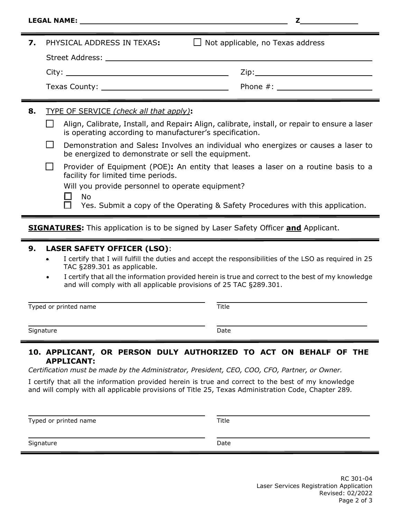| <b>LEGAL NAME:</b> |  |
|--------------------|--|

| PHYSICAL ADDRESS IN TEXAS:                                                                                                                               | $\Box$ Not applicable, no Texas address |  |
|----------------------------------------------------------------------------------------------------------------------------------------------------------|-----------------------------------------|--|
|                                                                                                                                                          |                                         |  |
|                                                                                                                                                          |                                         |  |
|                                                                                                                                                          |                                         |  |
| <b>TYPE OF SERVICE (check all that apply):</b>                                                                                                           |                                         |  |
| Align, Calibrate, Install, and Repair: Align, calibrate, install, or repair to ensure a laser<br>is operating according to manufacturer's specification. |                                         |  |
|                                                                                                                                                          |                                         |  |

| Demonstration and Sales: Involves an individual who energizes or causes a laser to |
|------------------------------------------------------------------------------------|
| be energized to demonstrate or sell the equipment.                                 |

| Provider of Equipment (POE): An entity that leases a laser on a routine basis to a |  |
|------------------------------------------------------------------------------------|--|
| facility for limited time periods.                                                 |  |

Will you provide personnel to operate equipment?

No

Yes. Submit a copy of the Operating & Safety Procedures with this application.

**SIGNATURES:** This application is to be signed by Laser Safety Officer **and** Applicant.

## **9. LASER SAFETY OFFICER (LSO)**:

- I certify that I will fulfill the duties and accept the responsibilities of the LSO as required in 25 TAC §289.301 as applicable.
- I certify that all the information provided herein is true and correct to the best of my knowledge and will comply with all applicable provisions of 25 TAC §289.301.

Typed or printed name Title

Signature Date Date Communications and Date Date

## **10. APPLICANT, OR PERSON DULY AUTHORIZED TO ACT ON BEHALF OF THE APPLICANT:**

*Certification must be made by the Administrator, President, CEO, COO, CFO, Partner, or Owner.* 

I certify that all the information provided herein is true and correct to the best of my knowledge and will comply with all applicable provisions of Title 25, Texas Administration Code, Chapter 289*.* 

Typed or printed name Title

Signature Date Date Date Date Date Date Date